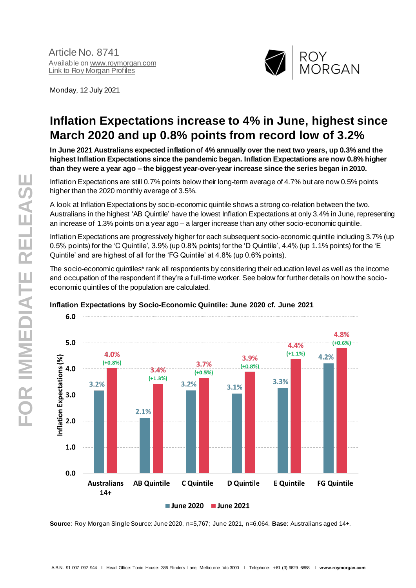Article No. 8741 Available o[n www.roymorgan.com](about:blank) Link to [Roy Morgan Profiles](about:blank)

Monday, 12 July 2021



# **Inflation Expectations increase to 4% in June, highest since March 2020 and up 0.8% points from record low of 3.2%**

**In June 2021 Australians expected inflation of 4% annually over the next two years, up 0.3% and the highest Inflation Expectations since the pandemic began. Inflation Expectations are now 0.8% higher than they were a year ago – the biggest year-over-year increase since the series began in 2010.**

Inflation Expectations are still 0.7% points below their long-term average of 4.7% but are now 0.5% points higher than the 2020 monthly average of 3.5%.

A look at Inflation Expectations by socio-economic quintile shows a strong co-relation between the two. Australians in the highest 'AB Quintile' have the lowest Inflation Expectations at only 3.4% in June, representing an increase of 1.3% points on a year ago – a larger increase than any other socio-economic quintile.

Inflation Expectations are progressively higher for each subsequent socio-economic quintile including 3.7% (up 0.5% points) for the 'C Quintile', 3.9% (up 0.8% points) for the 'D Quintile', 4.4% (up 1.1% points) for the 'E Quintile' and are highest of all for the 'FG Quintile' at 4.8% (up 0.6% points).

The socio-economic quintiles\* rank all respondents by considering their education level as well as the income and occupation of the respondent if they're a full-time worker. See below for further details on how the socioeconomic quintiles of the population are calculated.



## **Inflation Expectations by Socio-Economic Quintile: June 2020 cf. June 2021**

**Source**: Roy Morgan Single Source: June 2020, n=5,767; June 2021, n=6,064. **Base**: Australians aged 14+.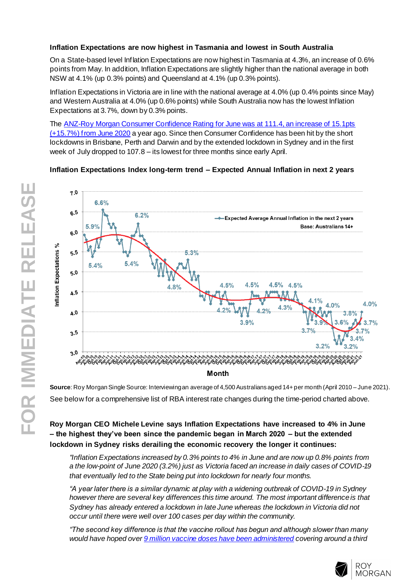## **Inflation Expectations are now highest in Tasmania and lowest in South Australia**

On a State-based level Inflation Expectations are now highest in Tasmania at 4.3%, an increase of 0.6% points from May. In addition, Inflation Expectations are slightly higher than the national average in both NSW at 4.1% (up 0.3% points) and Queensland at 4.1% (up 0.3% points).

Inflation Expectations in Victoria are in line with the national average at 4.0% (up 0.4% points since May) and Western Australia at 4.0% (up 0.6% points) while South Australia now has the lowest Inflation Expectations at 3.7%, down by 0.3% points.

The [ANZ-Roy Morgan Consumer Confidence Rating](http://www.roymorgan.com/morganpoll/consumer-confidence/consumer-monthly-results) for June was at 111.4, an increase of 15.1pts [\(+15.7%\) from June 2020](http://www.roymorgan.com/morganpoll/consumer-confidence/consumer-monthly-results) a year ago. Since then Consumer Confidence has been hit by the short lockdowns in Brisbane, Perth and Darwin and by the extended lockdown in Sydney and in the first week of July dropped to 107.8 – its lowest for three months since early April.

## **Inflation Expectations Index long-term trend – Expected Annual Inflation in next 2 years**



**Source**: Roy Morgan Single Source: Interviewingan average of 4,500 Australians aged 14+ per month (April 2010 – June 2021). See below for a comprehensive list of RBA interest rate changes during the time-period charted above.

## **Roy Morgan CEO Michele Levine says Inflation Expectations have increased to 4% in June – the highest they've been since the pandemic began in March 2020 – but the extended lockdown in Sydney risks derailing the economic recovery the longer it continues:**

*"Inflation Expectations increased by 0.3% points to 4% in June and are now up 0.8% points from a the low-point of June 2020 (3.2%) just as Victoria faced an increase in daily cases of COVID-19 that eventually led to the State being put into lockdown for nearly four months.*

*"A year later there is a similar dynamic at play with a widening outbreak of COVID-19 in Sydney however there are several key differences this time around. The most important difference is that Sydney has already entered a lockdown in late June whereas the lockdown in Victoria did not occur until there were well over 100 cases per day within the community.*

*"The second key difference is that the vaccine rollout has begun and although slower than many would have hoped ove[r 9 million vaccine doses have been administered](https://www.health.gov.au/initiatives-and-programs/covid-19-vaccines/australias-covid-19-vaccine-rollout) covering around a third* 

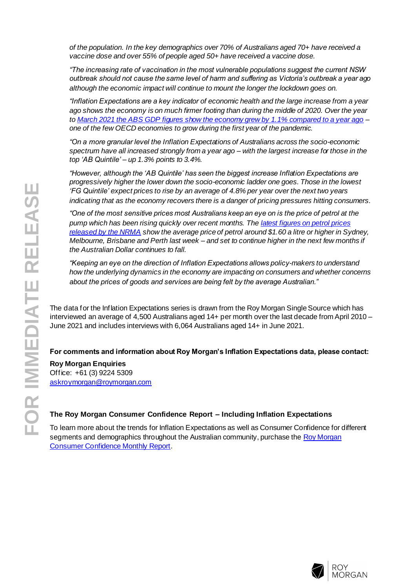*of the population. In the key demographics over 70% of Australians aged 70+ have received a vaccine dose and over 55% of people aged 50+ have received a vaccine dose.*

*"The increasing rate of vaccination in the most vulnerable populations suggest the current NSW outbreak should not cause the same level of harm and suffering as Victoria's outbreak a year ago although the economic impact will continue to mount the longer the lockdown goes on.*

*"Inflation Expectations are a key indicator of economic health and the large increase from a year ago shows the economy is on much firmer footing than during the middle of 2020. Over the year t[o March 2021 the ABS GDP figures show the economy grew by 1.1% compared to a year ago](https://www.abs.gov.au/statistics/economy/national-accounts/australian-national-accounts-national-income-expenditure-and-product/latest-release) – one of the few OECD economies to grow during the first year of the pandemic.*

*"On a more granular level the Inflation Expectations of Australians across the socio-economic spectrum have all increased strongly from a year ago – with the largest increase for those in the top 'AB Quintile' – up 1.3% points to 3.4%.*

*"However, although the 'AB Quintile' has seen the biggest increase Inflation Expectations are progressively higher the lower down the socio-economic ladder one goes. Those in the lowest 'FG Quintile' expect prices to rise by an average of 4.8% per year over the next two years indicating that as the economy recovers there is a danger of pricing pressures hitting consumers.*

*"One of the most sensitive prices most Australians keep an eye on is the price of petrol at the pump which has been rising quickly over recent months. Th[e latest figures on petrol prices](https://www.mynrma.com.au/membership/my-nrma-app/fuel-resources/weekly-report/05-07-21)  [released by the NRMA](https://www.mynrma.com.au/membership/my-nrma-app/fuel-resources/weekly-report/05-07-21) show the average price of petrol around \$1.60 a litre or higher in Sydney, Melbourne, Brisbane and Perth last week – and set to continue higher in the next few months if the Australian Dollar continues to fall.*

*"Keeping an eye on the direction of Inflation Expectations allows policy-makers to understand how the underlying dynamics in the economy are impacting on consumers and whether concerns about the prices of goods and services are being felt by the average Australian."*

The data for the Inflation Expectations series is drawn from the Roy Morgan Single Source which has interviewed an average of 4,500 Australians aged 14+ per month over the last decade from April 2010 – June 2021 and includes interviews with 6,064 Australians aged 14+ in June 2021.

## **For comments and information about Roy Morgan's Inflation Expectations data, please contact:**

**Roy Morgan Enquiries** Office: +61 (3) 9224 5309 [askroymorgan@roymorgan.com](mailto:askroymorgan@roymorgan.com)

## **The Roy Morgan Consumer Confidence Report – Including Inflation Expectations**

To learn more about the trends for Inflation Expectations as well as Consumer Confidence for different segments and demographics throughout the Australian community, purchase the Roy Morgan [Consumer Confidence Monthly Report](about:blank).

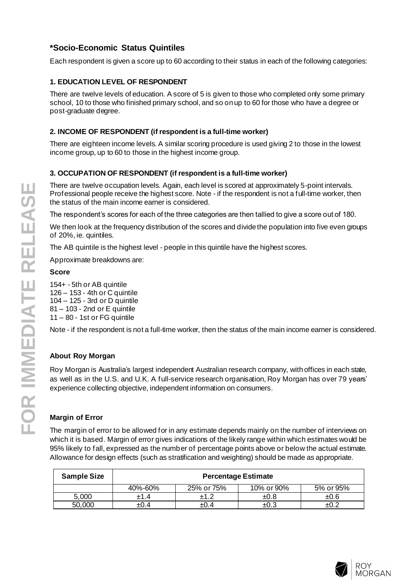# **\*Socio-Economic Status Quintiles**

Each respondent is given a score up to 60 according to their status in each of the following categories:

## **1. EDUCATION LEVEL OF RESPONDENT**

There are twelve levels of education. A score of 5 is given to those who completed only some primary school, 10 to those who finished primary school, and so on up to 60 for those who have a degree or post-graduate degree.

## **2. INCOME OF RESPONDENT (if respondent is a full-time worker)**

There are eighteen income levels. A similar scoring procedure is used giving 2 to those in the lowest income group, up to 60 to those in the highest income group.

## **3. OCCUPATION OF RESPONDENT (if respondent is a full-time worker)**

There are twelve occupation levels. Again, each level is scored at approximately 5-point intervals. Professional people receive the highest score. Note - if the respondent is not a full-time worker, then the status of the main income earner is considered.

The respondent's scores for each of the three categories are then tallied to give a score out of 180.

We then look at the frequency distribution of the scores and divide the population into five even groups of 20%, ie. quintiles.

The AB quintile is the highest level - people in this quintile have the highest scores.

Approximate breakdowns are:

#### **Score**

154+ - 5th or AB quintile 126 – 153 - 4th or C quintile 104 – 125 - 3rd or D quintile 81 – 103 - 2nd or E quintile 11 – 80 - 1st or FG quintile

Note - if the respondent is not a full-time worker, then the status of the main income earner is considered.

## **About Roy Morgan**

Roy Morgan is Australia's largest independent Australian research company, with offices in each state, as well as in the U.S. and U.K. A full-service research organisation, Roy Morgan has over 79 years' experience collecting objective, independent information on consumers.

## **Margin of Error**

The margin of error to be allowed for in any estimate depends mainly on the number of interviews on which it is based. Margin of error gives indications of the likely range within which estimates would be 95% likely to fall, expressed as the number of percentage points above or below the actual estimate. Allowance for design effects (such as stratification and weighting) should be made as appropriate.

| <b>Sample Size</b> | <b>Percentage Estimate</b> |            |            |           |  |  |  |  |  |
|--------------------|----------------------------|------------|------------|-----------|--|--|--|--|--|
|                    | 40%-60%                    | 25% or 75% | 10% or 90% | 5% or 95% |  |  |  |  |  |
| 5.000              | ±1.4                       |            | ±0.8       | ±0.6      |  |  |  |  |  |
| 50,000             | $\pm 0.4$                  | ±0.4       | ±0.3       |           |  |  |  |  |  |

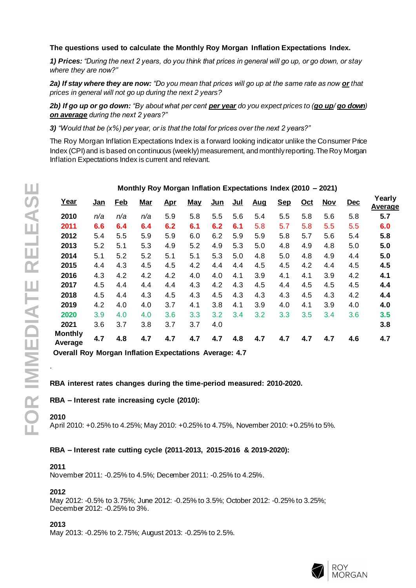## **The questions used to calculate the Monthly Roy Morgan Inflation Expectations Index.**

*1) Prices: "During the next 2 years, do you think that prices in general will go up, or go down, or stay where they are now?"*

*2a) If stay where they are now: "Do you mean that prices will go up at the same rate as now or that prices in general will not go up during the next 2 years?*

*2b) If go up or go down: "By about what per cent per year do you expect prices to (go up/ go down) on average during the next 2 years?"*

*3) "Would that be (x%) per year, or is that the total for prices over the next 2 years?"*

The Roy Morgan Inflation Expectations Index is a forward looking indicator unlike the Consumer Price Index (CPI) and is based on continuous (weekly) measurement, and monthly reporting. The Roy Morgan Inflation Expectations Index is current and relevant.

|                           |            | - - - |            |            |            |            |       |            |            |            |            |            |                   |
|---------------------------|------------|-------|------------|------------|------------|------------|-------|------------|------------|------------|------------|------------|-------------------|
| Year                      | <u>Jan</u> | Feb   | <b>Mar</b> | <u>Apr</u> | <b>May</b> | <u>Jun</u> | $Jul$ | <b>Aug</b> | <b>Sep</b> | <u>Oct</u> | <b>Nov</b> | <b>Dec</b> | Yearly<br>Average |
| 2010                      | n/a        | n/a   | n/a        | 5.9        | 5.8        | 5.5        | 5.6   | 5.4        | 5.5        | 5.8        | 5.6        | 5.8        | 5.7               |
| 2011                      | 6.6        | 6.4   | 6.4        | 6.2        | 6.1        | 6.2        | 6.1   | 5.8        | 5.7        | 5.8        | 5.5        | 5.5        | 6.0               |
| 2012                      | 5.4        | 5.5   | 5.9        | 5.9        | 6.0        | 6.2        | 5.9   | 5.9        | 5.8        | 5.7        | 5.6        | 5.4        | 5.8               |
| 2013                      | 5.2        | 5.1   | 5.3        | 4.9        | 5.2        | 4.9        | 5.3   | 5.0        | 4.8        | 4.9        | 4.8        | 5.0        | 5.0               |
| 2014                      | 5.1        | 5.2   | 5.2        | 5.1        | 5.1        | 5.3        | 5.0   | 4.8        | 5.0        | 4.8        | 4.9        | 4.4        | 5.0               |
| 2015                      | 4.4        | 4.3   | 4.5        | 4.5        | 4.2        | 4.4        | 4.4   | 4.5        | 4.5        | 4.2        | 4.4        | 4.5        | 4.5               |
| 2016                      | 4.3        | 4.2   | 4.2        | 4.2        | 4.0        | 4.0        | 4.1   | 3.9        | 4.1        | 4.1        | 3.9        | 4.2        | 4.1               |
| 2017                      | 4.5        | 4.4   | 4.4        | 4.4        | 4.3        | 4.2        | 4.3   | 4.5        | 4.4        | 4.5        | 4.5        | 4.5        | 4.4               |
| 2018                      | 4.5        | 4.4   | 4.3        | 4.5        | 4.3        | 4.5        | 4.3   | 4.3        | 4.3        | 4.5        | 4.3        | 4.2        | 4.4               |
| 2019                      | 4.2        | 4.0   | 4.0        | 3.7        | 4.1        | 3.8        | 4.1   | 3.9        | 4.0        | 4.1        | 3.9        | 4.0        | 4.0               |
| 2020                      | 3.9        | 4.0   | 4.0        | 3.6        | 3.3        | 3.2        | 3.4   | 3.2        | 3.3        | 3.5        | 3.4        | 3.6        | 3.5               |
| 2021                      | 3.6        | 3.7   | 3.8        | 3.7        | 3.7        | 4.0        |       |            |            |            |            |            | 3.8               |
| <b>Monthly</b><br>Average | 4.7        | 4.8   | 4.7        | 4.7        | 4.7        | 4.7        | 4.8   | 4.7        | 4.7        | 4.7        | 4.7        | 4.6        | 4.7               |

## **Monthly Roy Morgan Inflation Expectations Index (2010 – 2021)**

**Overall Roy Morgan Inflation Expectations Average: 4.7**

## **RBA interest rates changes during the time-period measured: 2010-2020.**

## **RBA – Interest rate increasing cycle (2010):**

#### **2010**

.

April 2010: +0.25% to 4.25%; May 2010: +0.25% to 4.75%, November 2010: +0.25% to 5%.

#### **RBA – Interest rate cutting cycle (2011-2013, 2015-2016 & 2019-2020):**

#### **2011**

November 2011: -0.25% to 4.5%; December 2011: -0.25% to 4.25%.

#### **2012**

May 2012: -0.5% to 3.75%; June 2012: -0.25% to 3.5%; October 2012: -0.25% to 3.25%; December 2012: -0.25% to 3%.

## **2013**

May 2013: -0.25% to 2.75%; August 2013: -0.25% to 2.5%.